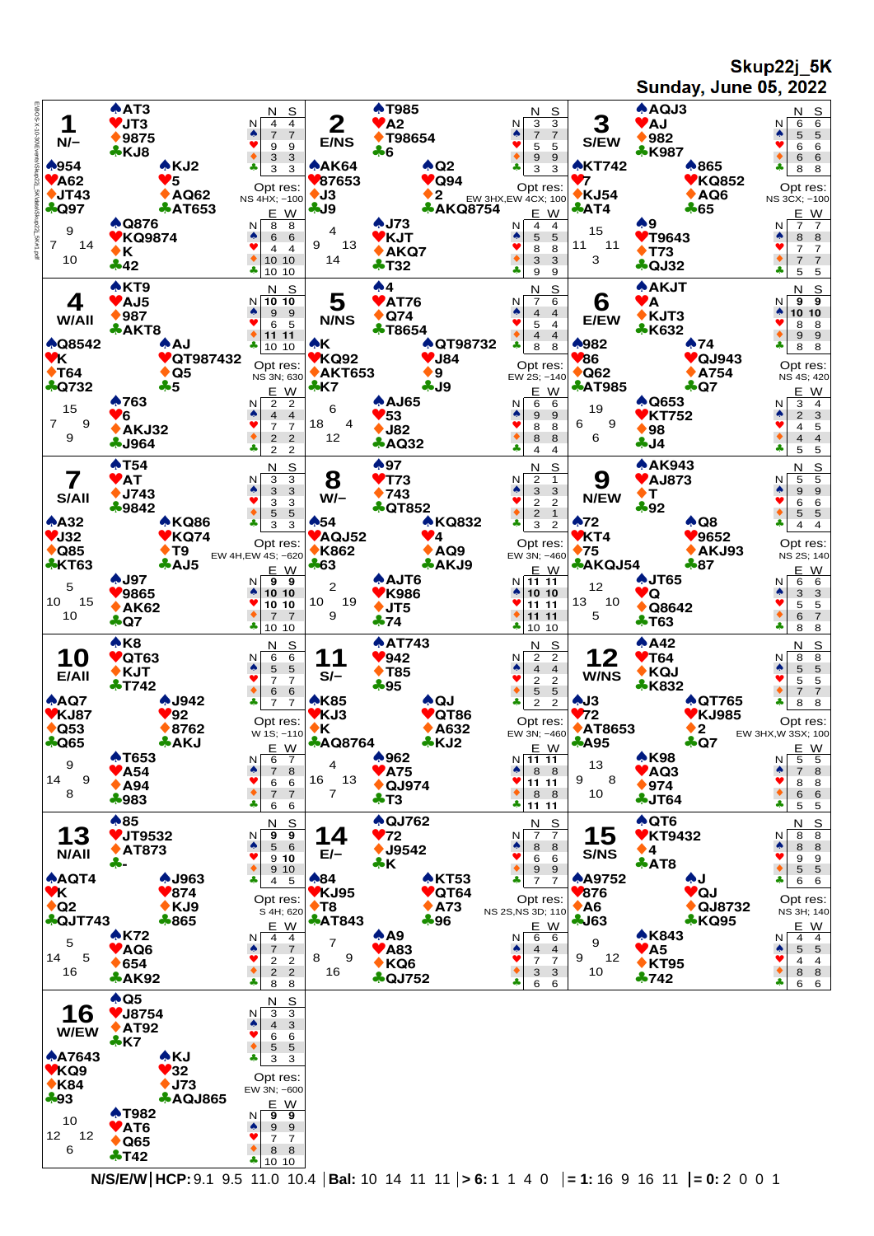Skup22j 5K **Sunday, June 05, 2022**